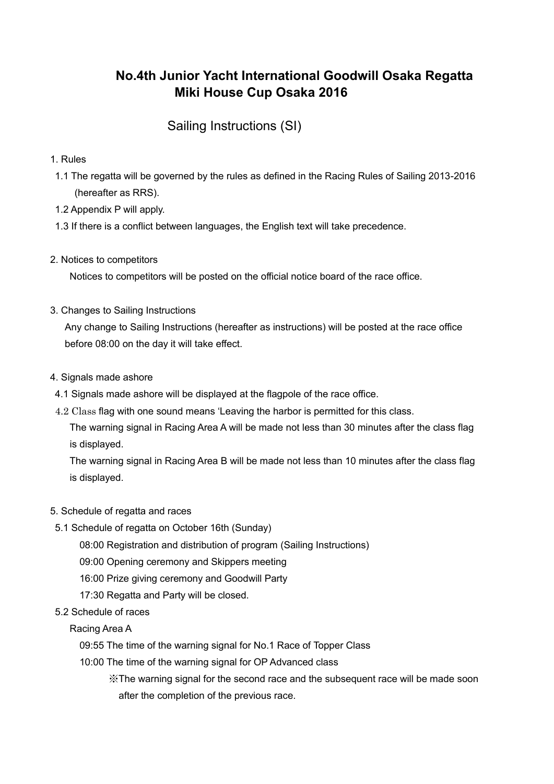# **No.4th Junior Yacht International Goodwill Osaka Regatta Miki House Cup Osaka 2016**

## Sailing Instructions (SI)

- 1. Rules
- 1.1 The regatta will be governed by the rules as defined in the Racing Rules of Sailing 2013-2016 (hereafter as RRS).
- 1.2 Appendix P will apply.
- 1.3 If there is a conflict between languages, the English text will take precedence.
- 2. Notices to competitors

Notices to competitors will be posted on the official notice board of the race office.

3. Changes to Sailing Instructions

Any change to Sailing Instructions (hereafter as instructions) will be posted at the race office before 08:00 on the day it will take effect.

- 4. Signals made ashore
- 4.1 Signals made ashore will be displayed at the flagpole of the race office.
- 4.2 Class flag with one sound means 'Leaving the harbor is permitted for this class.

The warning signal in Racing Area A will be made not less than 30 minutes after the class flag is displayed.

The warning signal in Racing Area B will be made not less than 10 minutes after the class flag is displayed.

- 5. Schedule of regatta and races
- 5.1 Schedule of regatta on October 16th (Sunday)
	- 08:00 Registration and distribution of program (Sailing Instructions)
	- 09:00 Opening ceremony and Skippers meeting
	- 16:00 Prize giving ceremony and Goodwill Party
	- 17:30 Regatta and Party will be closed.
- 5.2 Schedule of races

Racing Area A

- 09:55 The time of the warning signal for No.1 Race of Topper Class
- 10:00 The time of the warning signal for OP Advanced class
	- ※The warning signal for the second race and the subsequent race will be made soon after the completion of the previous race.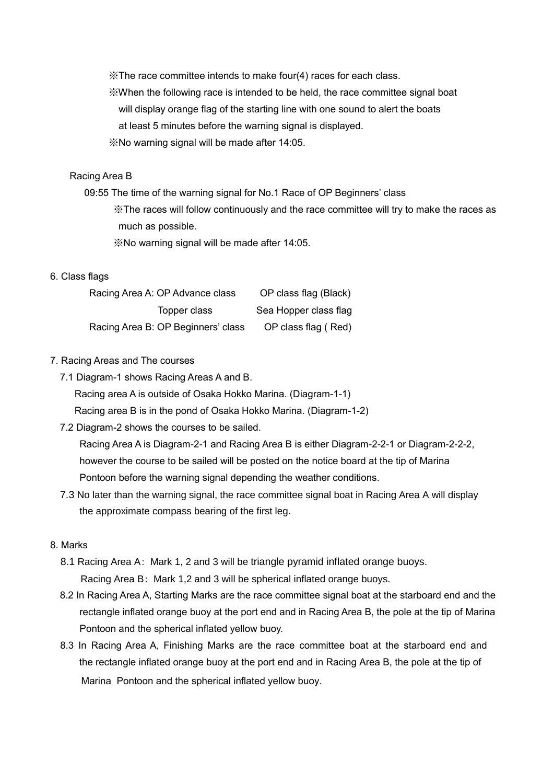※The race committee intends to make four(4) races for each class.

- ※When the following race is intended to be held, the race committee signal boat will display orange flag of the starting line with one sound to alert the boats
	- at least 5 minutes before the warning signal is displayed.
- ※No warning signal will be made after 14:05.

#### Racing Area B

- 09:55 The time of the warning signal for No.1 Race of OP Beginners' class ※The races will follow continuously and the race committee will try to make the races as much as possible.
	- ※No warning signal will be made after 14:05.

#### 6. Class flags

| Racing Area A: OP Advance class    | OP class flag (Black) |
|------------------------------------|-----------------------|
| Topper class                       | Sea Hopper class flag |
| Racing Area B: OP Beginners' class | OP class flag (Red)   |

#### 7. Racing Areas and The courses

7.1 Diagram-1 shows Racing Areas A and B.

Racing area A is outside of Osaka Hokko Marina. (Diagram-1-1)

Racing area B is in the pond of Osaka Hokko Marina. (Diagram-1-2)

7.2 Diagram-2 shows the courses to be sailed.

Racing Area A is Diagram-2-1 and Racing Area B is either Diagram-2-2-1 or Diagram-2-2-2, however the course to be sailed will be posted on the notice board at the tip of Marina Pontoon before the warning signal depending the weather conditions.

7.3 No later than the warning signal, the race committee signal boat in Racing Area A will display the approximate compass bearing of the first leg.

#### 8. Marks

- 8.1 Racing Area A: Mark 1, 2 and 3 will be triangle pyramid inflated orange buoys. Racing Area B: Mark 1,2 and 3 will be spherical inflated orange buoys.
- 8.2 In Racing Area A, Starting Marks are the race committee signal boat at the starboard end and the rectangle inflated orange buoy at the port end and in Racing Area B, the pole at the tip of Marina Pontoon and the spherical inflated yellow buoy.
- 8.3 In Racing Area A, Finishing Marks are the race committee boat at the starboard end and the rectangle inflated orange buoy at the port end and in Racing Area B, the pole at the tip of Marina Pontoon and the spherical inflated yellow buoy.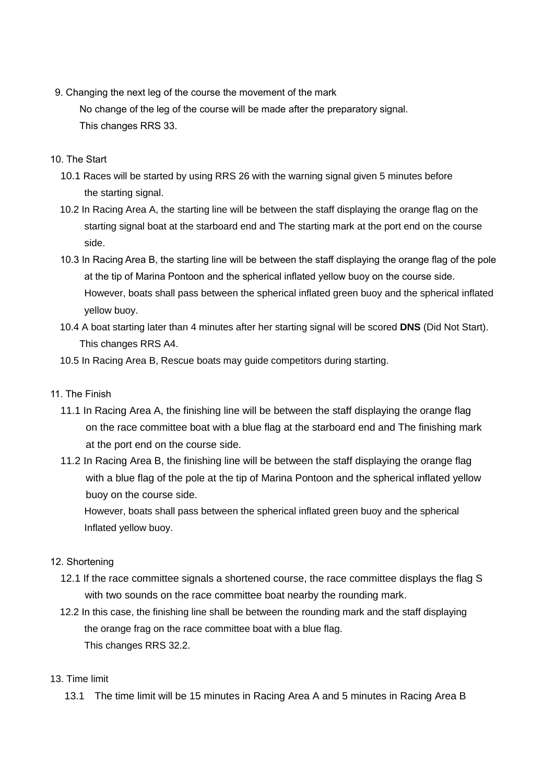- 9. Changing the next leg of the course the movement of the mark No change of the leg of the course will be made after the preparatory signal. This changes RRS 33.
- 10. The Start
	- 10.1 Races will be started by using RRS 26 with the warning signal given 5 minutes before the starting signal.
	- 10.2 In Racing Area A, the starting line will be between the staff displaying the orange flag on the starting signal boat at the starboard end and The starting mark at the port end on the course side.
	- 10.3 In Racing Area B, the starting line will be between the staff displaying the orange flag of the pole at the tip of Marina Pontoon and the spherical inflated yellow buoy on the course side. However, boats shall pass between the spherical inflated green buoy and the spherical inflated yellow buoy.
	- 10.4 A boat starting later than 4 minutes after her starting signal will be scored **DNS** (Did Not Start). This changes RRS A4.
	- 10.5 In Racing Area B, Rescue boats may guide competitors during starting.
- 11. The Finish
	- 11.1 In Racing Area A, the finishing line will be between the staff displaying the orange flag on the race committee boat with a blue flag at the starboard end and The finishing mark at the port end on the course side.
	- 11.2 In Racing Area B, the finishing line will be between the staff displaying the orange flag with a blue flag of the pole at the tip of Marina Pontoon and the spherical inflated yellow buoy on the course side.

However, boats shall pass between the spherical inflated green buoy and the spherical Inflated yellow buoy.

## 12. Shortening

- 12.1 If the race committee signals a shortened course, the race committee displays the flag S with two sounds on the race committee boat nearby the rounding mark.
- 12.2 In this case, the finishing line shall be between the rounding mark and the staff displaying the orange frag on the race committee boat with a blue flag. This changes RRS 32.2.

## 13. Time limit

13.1 The time limit will be 15 minutes in Racing Area A and 5 minutes in Racing Area B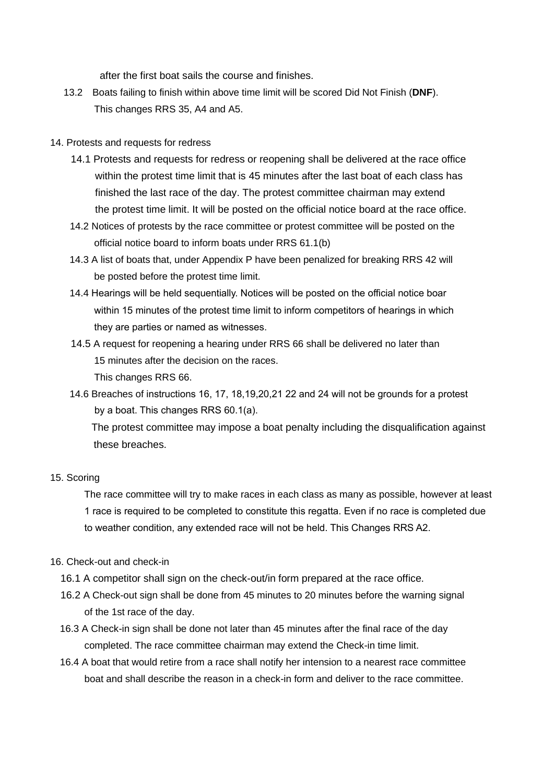after the first boat sails the course and finishes.

- 13.2 Boats failing to finish within above time limit will be scored Did Not Finish (**DNF**). This changes RRS 35, A4 and A5.
- 14. Protests and requests for redress
	- 14.1 Protests and requests for redress or reopening shall be delivered at the race office within the protest time limit that is 45 minutes after the last boat of each class has finished the last race of the day. The protest committee chairman may extend the protest time limit. It will be posted on the official notice board at the race office.
	- 14.2 Notices of protests by the race committee or protest committee will be posted on the official notice board to inform boats under RRS 61.1(b)
	- 14.3 A list of boats that, under Appendix P have been penalized for breaking RRS 42 will be posted before the protest time limit.
	- 14.4 Hearings will be held sequentially. Notices will be posted on the official notice boar within 15 minutes of the protest time limit to inform competitors of hearings in which they are parties or named as witnesses.
	- 14.5 A request for reopening a hearing under RRS 66 shall be delivered no later than 15 minutes after the decision on the races.

This changes RRS 66.

14.6 Breaches of instructions 16, 17, 18,19,20,21 22 and 24 will not be grounds for a protest by a boat. This changes RRS 60.1(a).

 The protest committee may impose a boat penalty including the disqualification against these breaches.

#### 15. Scoring

The race committee will try to make races in each class as many as possible, however at least 1 race is required to be completed to constitute this regatta. Even if no race is completed due to weather condition, any extended race will not be held. This Changes RRS A2.

#### 16. Check-out and check-in

- 16.1 A competitor shall sign on the check-out/in form prepared at the race office.
- 16.2 A Check-out sign shall be done from 45 minutes to 20 minutes before the warning signal of the 1st race of the day.
- 16.3 A Check-in sign shall be done not later than 45 minutes after the final race of the day completed. The race committee chairman may extend the Check-in time limit.
- 16.4 A boat that would retire from a race shall notify her intension to a nearest race committee boat and shall describe the reason in a check-in form and deliver to the race committee.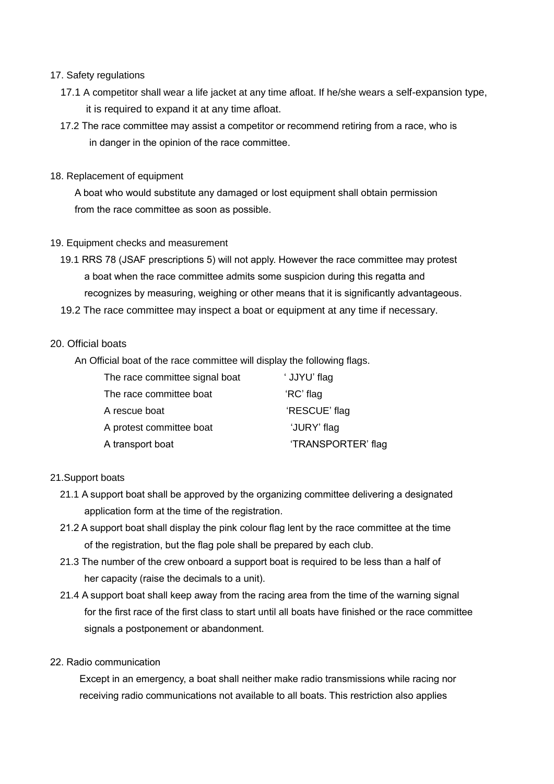## 17. Safety regulations

- 17.1 A competitor shall wear a life jacket at any time afloat. If he/she wears a self-expansion type, it is required to expand it at any time afloat.
- 17.2 The race committee may assist a competitor or recommend retiring from a race, who is in danger in the opinion of the race committee.
- 18. Replacement of equipment

A boat who would substitute any damaged or lost equipment shall obtain permission from the race committee as soon as possible.

- 19. Equipment checks and measurement
	- 19.1 RRS 78 (JSAF prescriptions 5) will not apply. However the race committee may protest a boat when the race committee admits some suspicion during this regatta and recognizes by measuring, weighing or other means that it is significantly advantageous.
	- 19.2 The race committee may inspect a boat or equipment at any time if necessary.

## 20. Official boats

An Official boat of the race committee will display the following flags.

| The race committee signal boat | 'JJYU' flag        |
|--------------------------------|--------------------|
| The race committee boat        | 'RC' flag          |
| A rescue boat                  | 'RESCUE' flag      |
| A protest committee boat       | 'JURY' flag        |
| A transport boat               | 'TRANSPORTER' flag |

## 21.Support boats

- 21.1 A support boat shall be approved by the organizing committee delivering a designated application form at the time of the registration.
- 21.2 A support boat shall display the pink colour flag lent by the race committee at the time of the registration, but the flag pole shall be prepared by each club.
- 21.3 The number of the crew onboard a support boat is required to be less than a half of her capacity (raise the decimals to a unit).
- 21.4 A support boat shall keep away from the racing area from the time of the warning signal for the first race of the first class to start until all boats have finished or the race committee signals a postponement or abandonment.
- 22. Radio communication

Except in an emergency, a boat shall neither make radio transmissions while racing nor receiving radio communications not available to all boats. This restriction also applies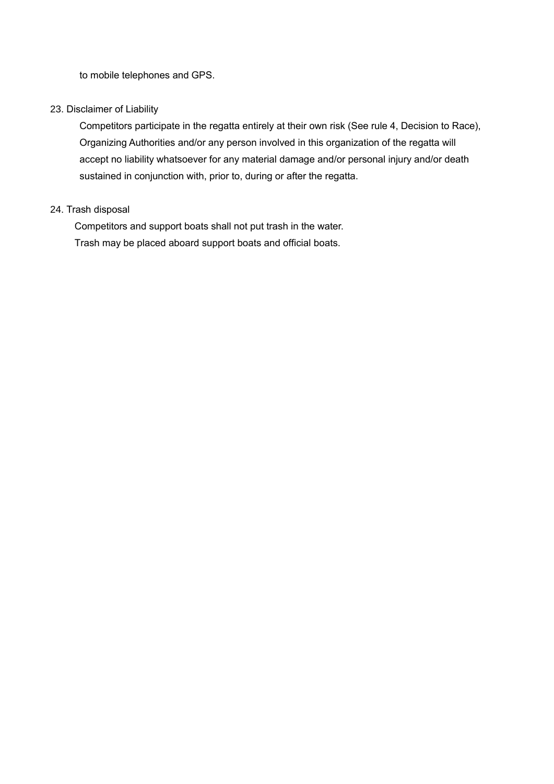to mobile telephones and GPS.

## 23. Disclaimer of Liability

Competitors participate in the regatta entirely at their own risk (See rule 4, Decision to Race), Organizing Authorities and/or any person involved in this organization of the regatta will accept no liability whatsoever for any material damage and/or personal injury and/or death sustained in conjunction with, prior to, during or after the regatta.

## 24. Trash disposal

Competitors and support boats shall not put trash in the water. Trash may be placed aboard support boats and official boats.